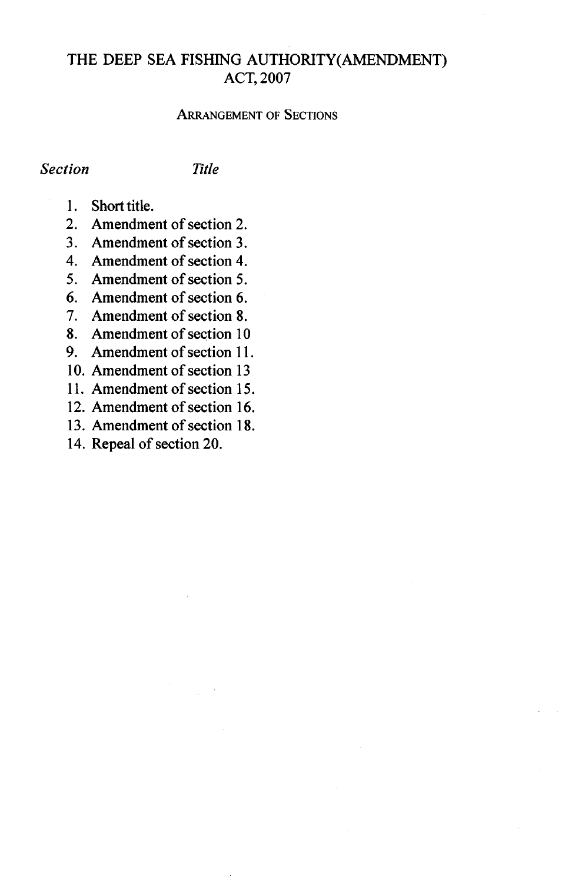# THE DEEP SEA FISHING AUTHORITY(AMENDMENT) ACT,2007

#### ARRANGEMENT OF SECTIONS

#### *Section Title*

- 1. Short title.
- 2. Amendment of section 2.
- 3. Amendment of section 3.
- 4. Amendment of section 4.
- 5. Amendment of section 5.
- 6. Amendment of section 6.
- 7. Amendment of section 8.
- 8. Amendment of section 10
- 9. Amendment of section 11.
- 10. Amendment of section 13
- 11. Amendment of section 15.
- 12. Amendment of section 16.
- 13. Amendment of section 18.
- 14. Repeal of section 20.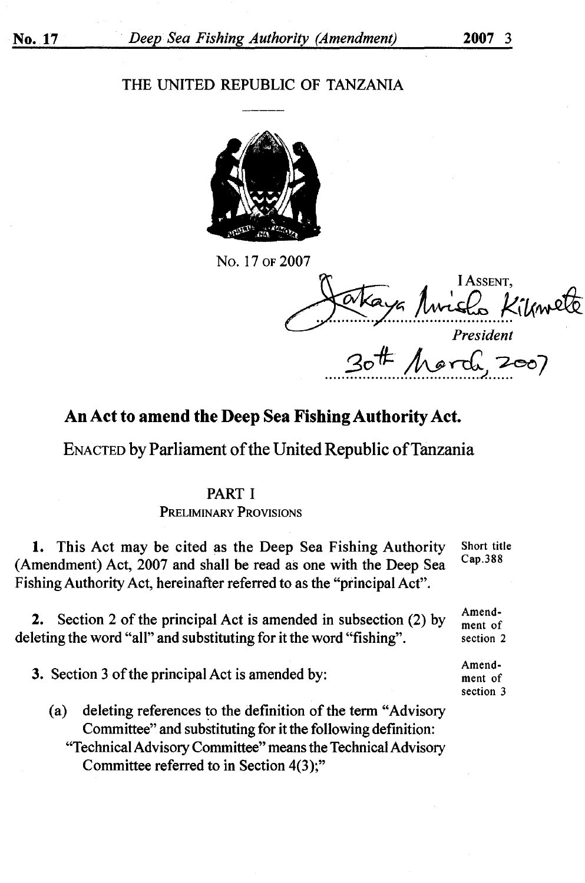#### THE UNITED REPUBLIC OF TANZANIA



No. 17 OF 2007

Jakaya Avrielo Kilmete *President*  20# March 2007

Amendment of section 2 Amendment of section 3

## **An Act to amend the Deep Sea Fishing Authority Act.**

ENACTED by Parliament of the United Republic of Tanzania

### PART I

PRELIMINARY PROVISIONS

**1.** This Act may be cited as the Deep Sea Fishing Authority (Amendment) Act, 2007 and shall be read as one with the Deep Sea Fishing Authority Act, hereinafter referred to as the "principal Act". Short title Cap.388

**2.** Section 2 of the principal Act is amended in subsection (2) by deleting the word "all" and substituting for it the word "fishing".

**3.** Section 3 of the principal Act is amended by:

(a) deleting references to the definition of the term "Advisory" Committee" and substituting for it the following definition: "Technical Advisory Committee" means the Technical Advisory Committee referred to in Section 4(3);"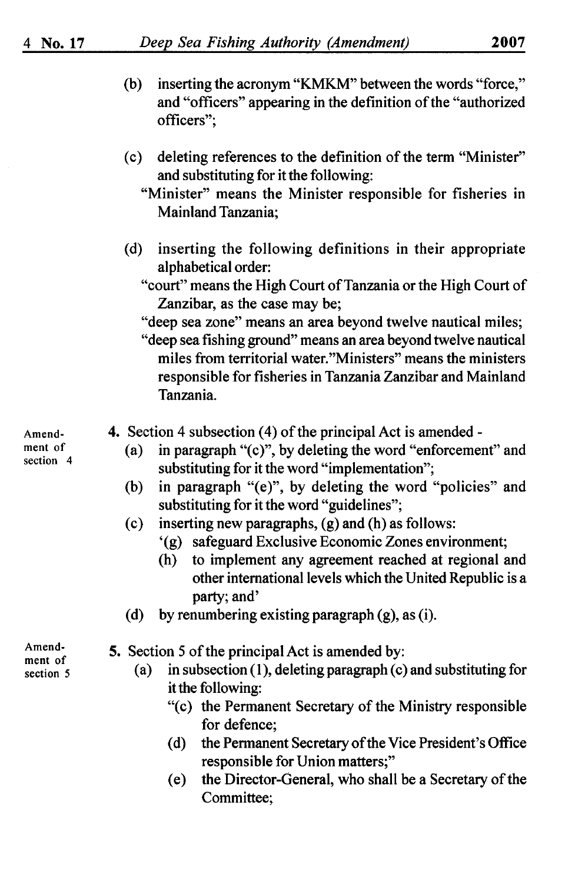- (b) inserting the acronym **"KMKM"** between the words "force," and "officers" appearing in the definition of the "authorized officers";
- ( c) deleting references to the definition of the term "Minister" and substituting for it the following:
	- "Minister" means the Minister responsible for fisheries in Mainland Tanzania;
- (d) inserting the following definitions in their appropriate alphabetical order:
	- "court" means the High Court of Tanzania or the High Court of Zanzibar, as the case may be;
	- "deep sea zone" means an area beyond twelve nautical miles;
	- "deep sea fishing ground" means an area beyond twelve nautical miles from territorial water."Ministers" means the ministers responsible for fisheries in Tanzania Zanzibar and Mainland Tanzania.
- **4.** Section 4 subsection (4) of the principal Act is amended -
	- (a) in paragraph "(c)", by deleting the word "enforcement" and substituting for it the word "implementation";
	- (b) in paragraph "(e)", by deleting the word "policies" and substituting for it the word "guidelines";
	- (c) inserting new paragraphs, (g) and (h) as follows:
		- '(g) safeguard Exclusive Economic Zones environment;
		- (h) to implement any agreement reached at regional and other international levels which the United Republic is a party; and'
	- (d) by renumbering existing paragraph  $(g)$ , as (i).

Amendment of section 5

- **5.** Section 5 of the principal Act is amended by:
	- (a) in subsection  $(1)$ , deleting paragraph  $(c)$  and substituting for it the following:
		- "(c) the Permanent Secretary of the Ministry responsible for defence;
		- (d) the Permanent Secretary of the Vice President's Office responsible for Union matters;"
		- ( e) the Director-General, who shall be a Secretary of the Committee;

Amendment of section 4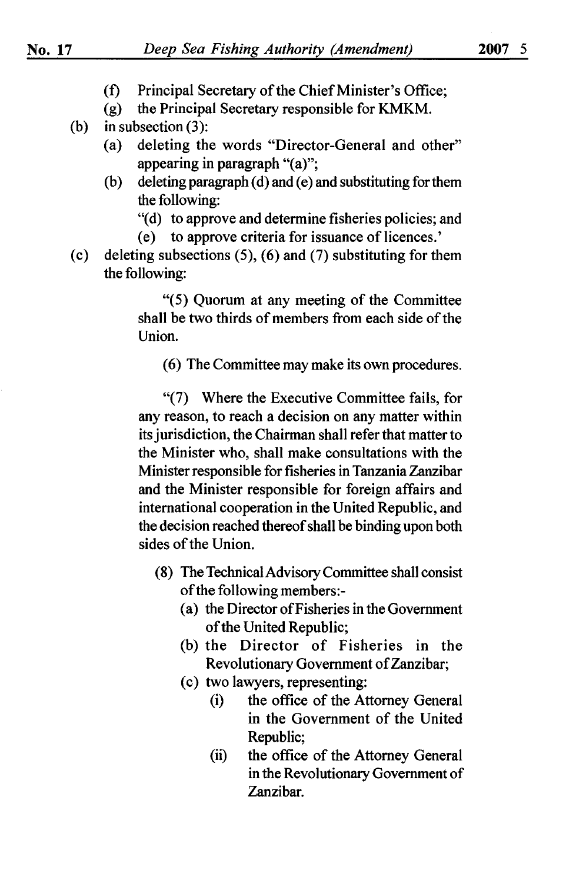- (f) Principal Secretary of the Chief Minister's Office;
- (g) the Principal Secretary responsible for **KMKM.**
- (b) in subsection (3):
	- (a) deleting the words "Director-General and other" appearing in paragraph "(a)";
	- (b) deleting paragraph (d) and (e) and substituting for them the following:
		- "(d) to approve and determine fisheries policies; and

( e) to approve criteria for issuance of licences.'

(c) deleting subsections  $(5)$ ,  $(6)$  and  $(7)$  substituting for them the following:

> "(5) Quorum at any meeting of the Committee shall be two thirds of members from each side of the Union.

(6) The Committee may make its own procedures.

"(7) Where the Executive Committee fails, for any reason, to reach a decision on any matter within its jurisdiction, the Chairman shall refer that matter to the Minister who, shall make consultations with the Minister responsible for fisheries in Tanzania Zanzibar and the Minister responsible for foreign affairs and international cooperation in the United Republic, and the decision reached thereof shall be binding upon both sides of the Union.

- (8) The Technical Advisory Committee shall consist of the following members:-
	- (a) the Director ofFisheries in the Government of the United Republic;
	- (b) the Director of Fisheries in the Revolutionary Government of Zanzibar;
	- ( c) two lawyers, representing:
		- (i) the office of the Attorney General in the Government of the United Republic;
		- (ii) the office of the Attorney General in the Revolutionary Government of Zanzibar.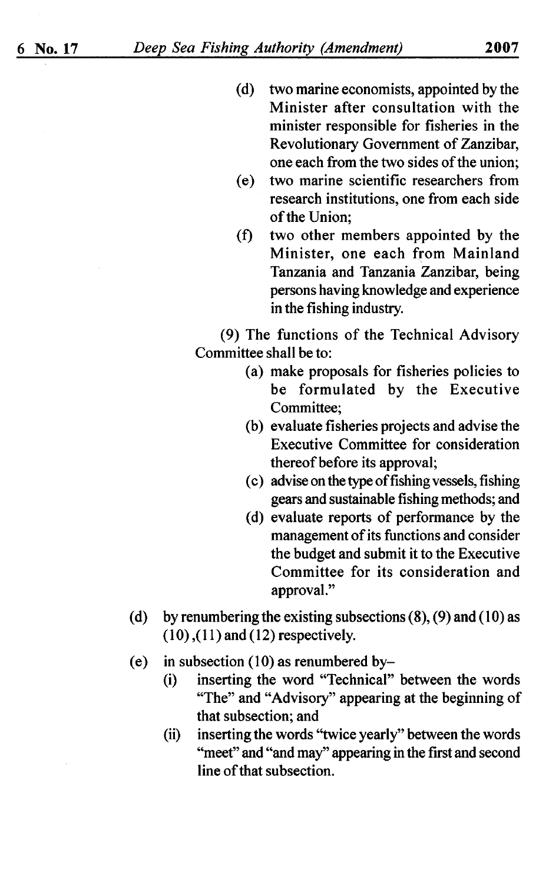- (d) two marine economists, appointed by the Minister after consultation with the minister responsible for fisheries in the Revolutionary Government of Zanzibar, one each from the two sides of the union;
- ( e) two marine scientific researchers from research institutions, one from each side of the Union;
- (f) two other members appointed by the Minister, one each from Mainland Tanzania and Tanzania Zanzibar, being persons having knowledge and experience in the fishing industry.

(9) The functions of the Technical Advisory Committee shall be to:

- (a) make proposals for fisheries policies to be formulated by the Executive Committee;
- (b) evaluate fisheries projects and advise the Executive Committee for consideration thereof before its approval;
- ( c) advise on the type of fishing vessels, fishing gears and sustainable fishing methods; and
- ( d) evaluate reports of performance by the management of its functions and consider the budget and submit it to the Executive Committee for its consideration and approval."
- (d) by renumbering the existing subsections  $(8)$ ,  $(9)$  and  $(10)$  as  $(10)$ ,  $(11)$  and  $(12)$  respectively.
- (e) in subsection  $(10)$  as renumbered by-
	- (i) inserting the word "Technical" between the words "The" and "Advisory" appearing at the beginning of that subsection; and
	- (ii) inserting the words "twice yearly" between the words "meet" and "and may" appearing in the first and second line of that subsection.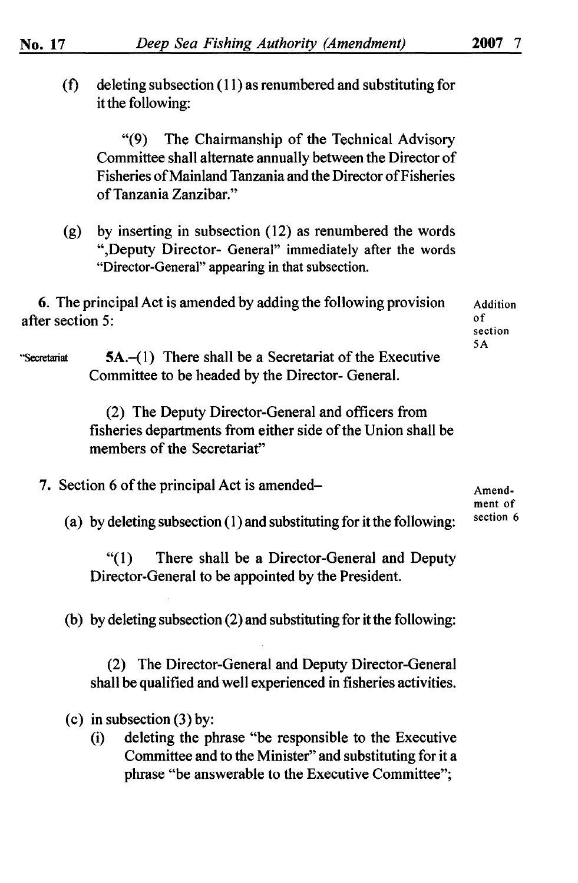| (f)              | deleting subsection (11) as renumbered and substituting for<br>it the following:                                                                                                                             |                            |
|------------------|--------------------------------------------------------------------------------------------------------------------------------------------------------------------------------------------------------------|----------------------------|
|                  | The Chairmanship of the Technical Advisory<br>(9)<br>Committee shall alternate annually between the Director of<br>Fisheries of Mainland Tanzania and the Director of Fisheries<br>of Tanzania Zanzibar."    |                            |
| (g)              | by inserting in subsection (12) as renumbered the words<br>", Deputy Director- General" immediately after the words<br>"Director-General" appearing in that subsection.                                      |                            |
| after section 5: | 6. The principal Act is amended by adding the following provision                                                                                                                                            | Addition<br>0 f<br>section |
| "Secretariat     | $5A$ .–(1) There shall be a Secretariat of the Executive<br>Committee to be headed by the Director- General.                                                                                                 | 5 A                        |
|                  | (2) The Deputy Director-General and officers from<br>fisheries departments from either side of the Union shall be<br>members of the Secretariat"                                                             |                            |
|                  | 7. Section 6 of the principal Act is amended-                                                                                                                                                                | Amend-<br>ment of          |
|                  | (a) by deleting subsection (1) and substituting for it the following:                                                                                                                                        | section 6                  |
|                  | (1)<br>There shall be a Director-General and Deputy<br>Director-General to be appointed by the President.                                                                                                    |                            |
|                  | (b) by deleting subsection (2) and substituting for it the following:                                                                                                                                        |                            |
|                  | (2) The Director-General and Deputy Director-General<br>shall be qualified and well experienced in fisheries activities.                                                                                     |                            |
|                  | (c) in subsection $(3)$ by:<br>deleting the phrase "be responsible to the Executive<br>(i)<br>Committee and to the Minister" and substituting for it a<br>phrase "be answerable to the Executive Committee"; |                            |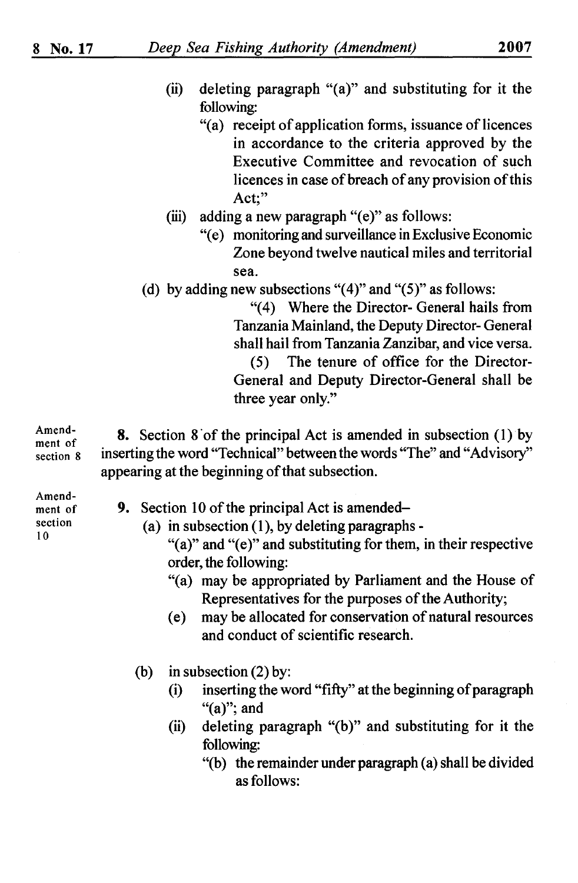- (ii) deleting paragraph "(a)" and substituting for it the following:
	- "(a) receipt of application forms, issuance of licences in accordance to the criteria approved by the Executive Committee and revocation of such licences in case of breach of any provision of this Act;"
- (iii) adding a new paragraph " $(e)$ " as follows:
	- "( e) monitoring and surveillance in Exclusive Economic Zone beyond twelve nautical miles and territorial sea.
- (d) by adding new subsections " $(4)$ " and " $(5)$ " as follows:

"(4) Where the Director- General hails from Tanzania Mainland, the Deputy Director- General shall hail from Tanzania Zanzibar, and vice versa. (5) The tenure of office for the Director-General and Deputy Director-General shall be

three year only."

Amendment of section 8 **8.** Section 8 of the principal Act is amended in subsection (1) by inserting the word "Technical" between the words "The" and "Advisory" appearing at the beginning of that subsection.

Amendment of section 10

- **9.** Section 10 of the principal Act is amended-
	- (a) in subsection  $(1)$ , by deleting paragraphs -

" $(a)$ " and " $(e)$ " and substituting for them, in their respective order, the following:

- "(a) may be appropriated by Parliament and the House of Representatives for the purposes of the Authority;
- ( e) may be allocated for conservation of natural resources and conduct of scientific research.
- (b) in subsection (2) by:
	- (i) inserting the word "fifty" at the beginning of paragraph "(a)"; and
	- (ii) deleting paragraph " $(b)$ " and substituting for it the following:
		- "(b) the remainder under paragraph (a) shall be divided as follows: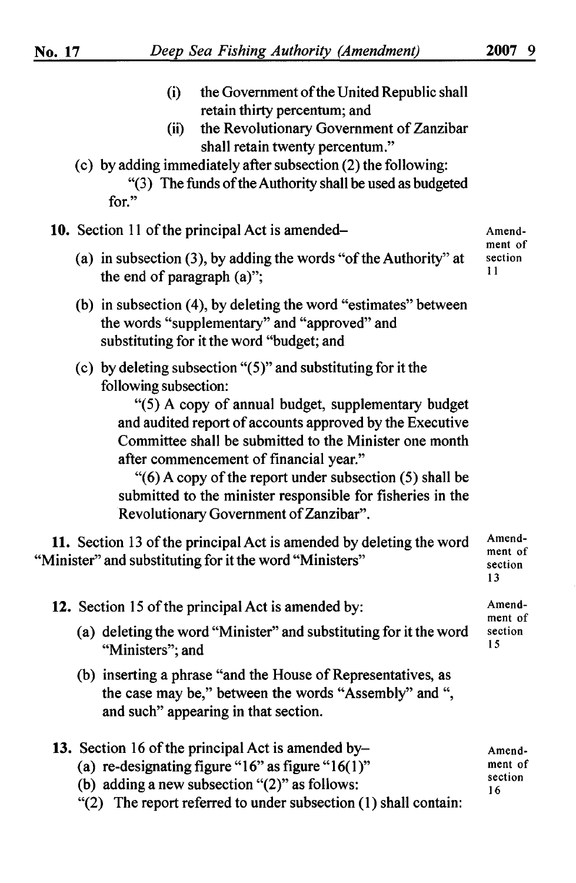Amend-

11

- (i) the Government of the United Republic shall retain thirty percentum; and
- (ii) the Revolutionary Government of Zanzibar shall retain twenty percentum."
- ( c) by adding immediately after subsection (2) the following: "(3) The funds of the Authority shall be used as budgeted for."

|  |  |  |  |  |  | 10. Section 11 of the principal Act is amended- |  |
|--|--|--|--|--|--|-------------------------------------------------|--|
|--|--|--|--|--|--|-------------------------------------------------|--|

- (a) in subsection  $(3)$ , by adding the words "of the Authority" at the end of paragraph (a)"; ment of section
- (b) in subsection (4), by deleting the word "estimates" between the words "supplementary" and "approved" and substituting for it the word "budget; and
- (c) by deleting subsection " $(5)$ " and substituting for it the following subsection:

"(5) A copy of annual budget, supplementary budget and audited report of accounts approved by the Executive Committee shall be submitted to the Minister one month after commencement of financial year."

"(6) A copy of the report under subsection (5) shall be submitted to the minister responsible for fisheries in the Revolutionary Government of Zanzibar".

| 11. Section 13 of the principal Act is amended by deleting the word<br>"Minister" and substituting for it the word "Ministers" |                                    |  |  |
|--------------------------------------------------------------------------------------------------------------------------------|------------------------------------|--|--|
| 12. Section 15 of the principal Act is amended by:                                                                             | Amend-<br>ment of<br>section<br>15 |  |  |
| (a) deleting the word "Minister" and substituting for it the word<br>"Ministers"; and                                          |                                    |  |  |

(b) inserting a phrase "and the House of Representatives, as the case may be," between the words "Assembly" and", and such" appearing in that section.

| 13. Section 16 of the principal Act is amended by-                   | Amend-        |
|----------------------------------------------------------------------|---------------|
| (a) re-designating figure " $16$ " as figure " $16(1)$ "             | ment of       |
| (b) adding a new subsection " $(2)$ " as follows:                    | section<br>16 |
| " $(2)$ The report referred to under subsection $(1)$ shall contain: |               |